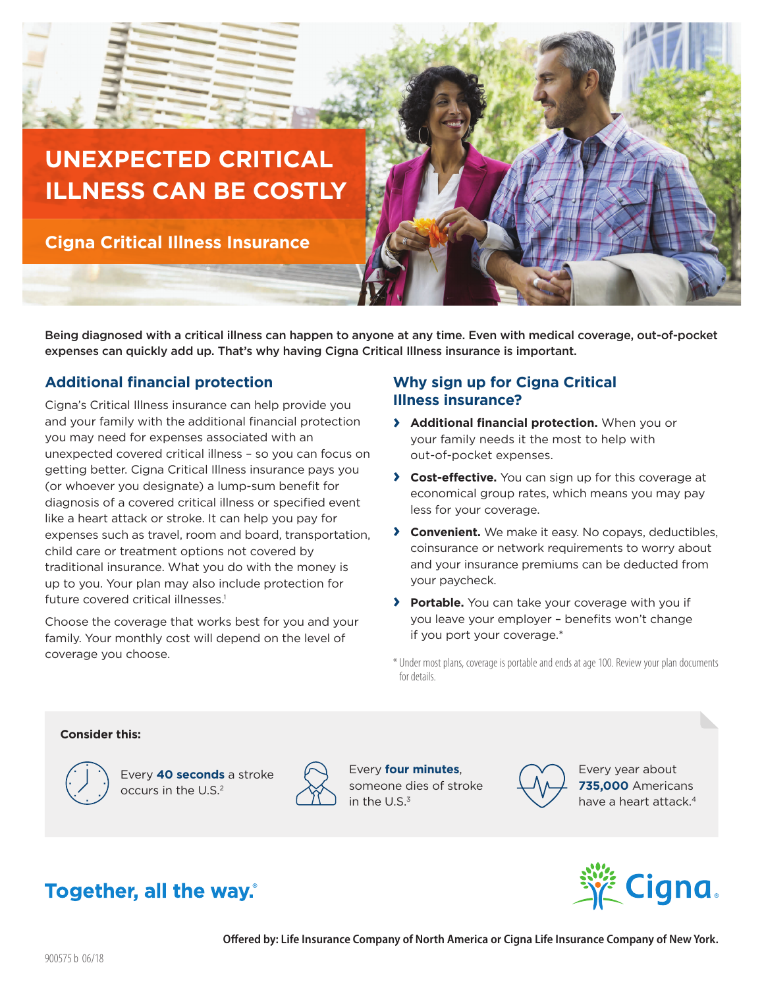

**Cigna Critical Illness Insurance** 

Being diagnosed with a critical illness can happen to anyone at any time. Even with medical coverage, out-of-pocket expenses can quickly add up. That's why having Cigna Critical Illness insurance is important.

## **Additional financial protection**

Cigna's Critical Illness insurance can help provide you and your family with the additional financial protection you may need for expenses associated with an unexpected covered critical illness – so you can focus on getting better. Cigna Critical Illness insurance pays you (or whoever you designate) a lump-sum benefit for diagnosis of a covered critical illness or specified event like a heart attack or stroke. It can help you pay for expenses such as travel, room and board, transportation, child care or treatment options not covered by traditional insurance. What you do with the money is up to you. Your plan may also include protection for future covered critical illnesses.<sup>1</sup>

Choose the coverage that works best for you and your family. Your monthly cost will depend on the level of coverage you choose.

## **Why sign up for Cigna Critical Illness insurance?**

- **› Additional financial protection.** When you or your family needs it the most to help with out-of-pocket expenses.
- **› Cost-effective.** You can sign up for this coverage at economical group rates, which means you may pay less for your coverage.
- **› Convenient.** We make it easy. No copays, deductibles, coinsurance or network requirements to worry about and your insurance premiums can be deducted from your paycheck.
- **› Portable.** You can take your coverage with you if you leave your employer – benefits won't change if you port your coverage.\*

### **Consider this:**



Every **40 seconds** a stroke occurs in the U.S.<sup>2</sup>



Every **four minutes**, someone dies of stroke in the U.S.3



Every year about **735,000** Americans have a heart attack.<sup>4</sup>

# **Cigna**

# **Together, all the way.**

<sup>\*</sup> Under most plans, coverage is portable and ends at age 100. Review your plan documents for details.